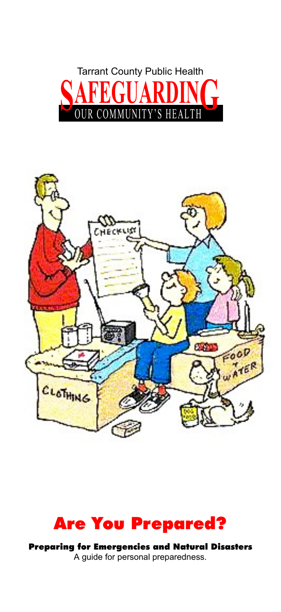





Preparing for Emergencies and Natural Disasters A guide for personal preparedness.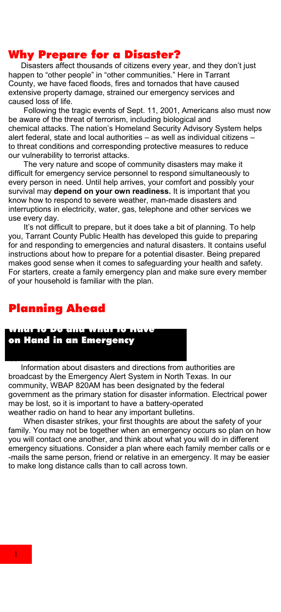# Why Prepare for a Disaster?

 Disasters affect thousands of citizens every year, and they don't just happen to "other people" in "other communities." Here in Tarrant County, we have faced floods, fires and tornados that have caused extensive property damage, strained our emergency services and caused loss of life.

 Following the tragic events of Sept. 11, 2001, Americans also must now be aware of the threat of terrorism, including biological and chemical attacks. The nation's Homeland Security Advisory System helps alert federal, state and local authorities – as well as individual citizens – to threat conditions and corresponding protective measures to reduce our vulnerability to terrorist attacks.

 The very nature and scope of community disasters may make it difficult for emergency service personnel to respond simultaneously to every person in need. Until help arrives, your comfort and possibly your survival may **depend on your own readiness.** It is important that you know how to respond to severe weather, man-made disasters and interruptions in electricity, water, gas, telephone and other services we use every day.

 It's not difficult to prepare, but it does take a bit of planning. To help you, Tarrant County Public Health has developed this guide to preparing for and responding to emergencies and natural disasters. It contains useful instructions about how to prepare for a potential disaster. Being prepared makes good sense when it comes to safeguarding your health and safety. For starters, create a family emergency plan and make sure every member of your household is familiar with the plan.

# Planning Ahead

Communication

# What to Do and What to Have

on Hand in an Emergency

 Information about disasters and directions from authorities are broadcast by the Emergency Alert System in North Texas. In our community, WBAP 820AM has been designated by the federal government as the primary station for disaster information. Electrical power may be lost, so it is important to have a battery-operated weather radio on hand to hear any important bulletins.

 When disaster strikes, your first thoughts are about the safety of your family. You may not be together when an emergency occurs so plan on how you will contact one another, and think about what you will do in different emergency situations. Consider a plan where each family member calls or e -mails the same person, friend or relative in an emergency. It may be easier to make long distance calls than to call across town.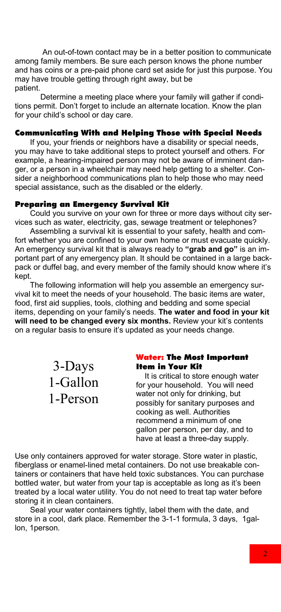An out-of-town contact may be in a better position to communicate among family members. Be sure each person knows the phone number and has coins or a pre-paid phone card set aside for just this purpose. You may have trouble getting through right away, but be patient.

 Determine a meeting place where your family will gather if conditions permit. Don't forget to include an alternate location. Know the plan for your child's school or day care.

### Communicating With and Helping Those with Special Needs

 If you, your friends or neighbors have a disability or special needs, you may have to take additional steps to protect yourself and others. For example, a hearing-impaired person may not be aware of imminent danger, or a person in a wheelchair may need help getting to a shelter. Consider a neighborhood communications plan to help those who may need special assistance, such as the disabled or the elderly.

#### Preparing an Emergency Survival Kit

 Could you survive on your own for three or more days without city services such as water, electricity, gas, sewage treatment or telephones?

 Assembling a survival kit is essential to your safety, health and comfort whether you are confined to your own home or must evacuate quickly. An emergency survival kit that is always ready to **"grab and go"** is an important part of any emergency plan. It should be contained in a large backpack or duffel bag, and every member of the family should know where it's kept.

 The following information will help you assemble an emergency survival kit to meet the needs of your household. The basic items are water, food, first aid supplies, tools, clothing and bedding and some special items, depending on your family's needs. **The water and food in your kit**  will need to be changed every six months. Review your kit's contents on a regular basis to ensure it's updated as your needs change.

> 3-Days 1-Gallon 1-Person

#### Water: The Most Important Item in Your Kit

It is critical to store enough water for your household. You will need water not only for drinking, but possibly for sanitary purposes and cooking as well. Authorities recommend a minimum of one gallon per person, per day, and to have at least a three-day supply.

Use only containers approved for water storage. Store water in plastic, fiberglass or enamel-lined metal containers. Do not use breakable containers or containers that have held toxic substances. You can purchase bottled water, but water from your tap is acceptable as long as it's been treated by a local water utility. You do not need to treat tap water before storing it in clean containers.

 Seal your water containers tightly, label them with the date, and store in a cool, dark place. Remember the 3-1-1 formula, 3 days, 1gallon, 1person.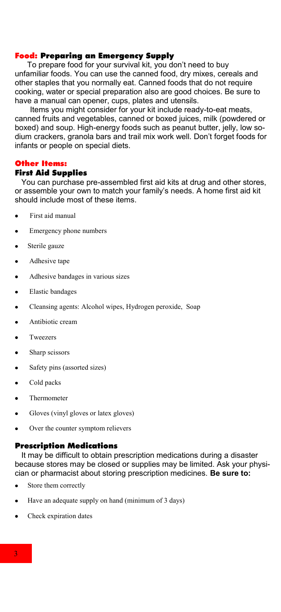### Food: Preparing an Emergency Supply

 To prepare food for your survival kit, you don't need to buy unfamiliar foods. You can use the canned food, dry mixes, cereals and other staples that you normally eat. Canned foods that do not require cooking, water or special preparation also are good choices. Be sure to have a manual can opener, cups, plates and utensils.

 Items you might consider for your kit include ready-to-eat meats, canned fruits and vegetables, canned or boxed juices, milk (powdered or boxed) and soup. High-energy foods such as peanut butter, jelly, low sodium crackers, granola bars and trail mix work well. Don't forget foods for infants or people on special diets.

#### Other Items:

#### First Aid Supplies

 You can purchase pre-assembled first aid kits at drug and other stores, or assemble your own to match your family's needs. A home first aid kit should include most of these items.

- First aid manual
- Emergency phone numbers
- Sterile gauze  $\bullet$
- Adhesive tape
- Adhesive bandages in various sizes
- Elastic bandages
- Cleansing agents: Alcohol wipes, Hydrogen peroxide, Soap  $\bullet$
- Antibiotic cream
- Tweezers
- Sharp scissors
- Safety pins (assorted sizes)
- Cold packs
- Thermometer
- Gloves (vinyl gloves or latex gloves)  $\bullet$
- Over the counter symptom relievers

#### Prescription Medications

 It may be difficult to obtain prescription medications during a disaster because stores may be closed or supplies may be limited. Ask your physician or pharmacist about storing prescription medicines. **Be sure to:** 

- Store them correctly
- Have an adequate supply on hand (minimum of 3 days)
- Check expiration dates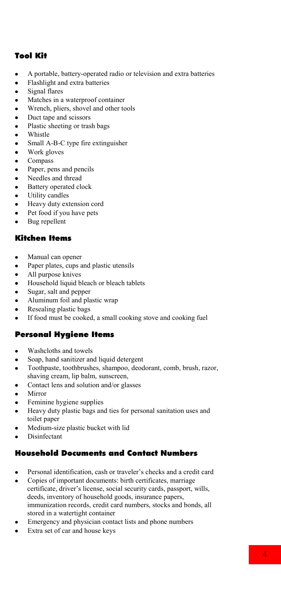## Tool Kit

- A portable, battery-operated radio or television and extra batteries
- $\bullet$ Flashlight and extra batteries
- $\bullet$ Signal flares
- Matches in a waterproof container  $\bullet$
- $\bullet$ Wrench, pliers, shovel and other tools
- Duct tape and scissors  $\bullet$
- Plastic sheeting or trash bags  $\bullet$
- $\bullet$ Whistle
- $\bullet$ Small A-B-C type fire extinguisher
- Work gloves  $\bullet$
- $\bullet$ Compass
- $\bullet$ Paper, pens and pencils
- Needles and thread
- $\bullet$ Battery operated clock
- $\bullet$ Utility candles
- $\bullet$ Heavy duty extension cord
- $\bullet$ Pet food if you have pets
- Bug repellent  $\bullet$

### Kitchen Items

- Manual can opener
- $\bullet$ Paper plates, cups and plastic utensils
- All purpose knives  $\bullet$
- $\bullet$ Household liquid bleach or bleach tablets
- Sugar, salt and pepper  $\bullet$
- Aluminum foil and plastic wrap
- Resealing plastic bags  $\bullet$
- If food must be cooked, a small cooking stove and cooking fuel

#### Personal Hygiene Items

- Washcloths and towels
- Soap, hand sanitizer and liquid detergent
- Toothpaste, toothbrushes, shampoo, deodorant, comb, brush, razor,  $\bullet$ shaving cream, lip balm, sunscreen,
- $\bullet$ Contact lens and solution and/or glasses
- Mirror
- Feminine hygiene supplies
- $\bullet$ Heavy duty plastic bags and ties for personal sanitation uses and toilet paper
- Medium-size plastic bucket with lid
- Disinfectant

### Household Documents and Contact Numbers

- Personal identification, cash or traveler's checks and a credit card
- Copies of important documents: birth certificates, marriage certificate, driver's license, social security cards, passport, wills, deeds, inventory of household goods, insurance papers, immunization records, credit card numbers, stocks and bonds, all stored in a watertight container
- Emergency and physician contact lists and phone numbers
- Extra set of car and house keys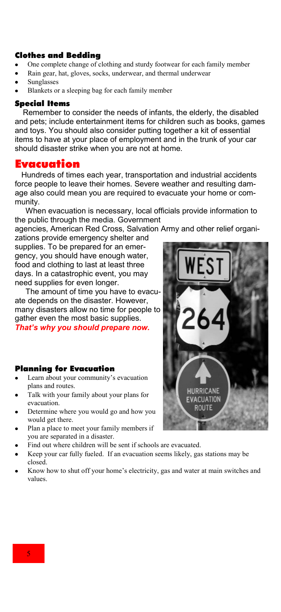#### Clothes and Bedding

- One complete change of clothing and sturdy footwear for each family member
- Rain gear, hat, gloves, socks, underwear, and thermal underwear
- Sunglasses
- Blankets or a sleeping bag for each family member

#### Special Items

 Remember to consider the needs of infants, the elderly, the disabled and pets; include entertainment items for children such as books, games and toys. You should also consider putting together a kit of essential items to have at your place of employment and in the trunk of your car should disaster strike when you are not at home.

### Evacuation

 Hundreds of times each year, transportation and industrial accidents force people to leave their homes. Severe weather and resulting damage also could mean you are required to evacuate your home or community.

 When evacuation is necessary, local officials provide information to the public through the media. Government

agencies, American Red Cross, Salvation Army and other relief organizations provide emergency shelter and

supplies. To be prepared for an emergency, you should have enough water, food and clothing to last at least three days. In a catastrophic event, you may need supplies for even longer.

 The amount of time you have to evacuate depends on the disaster. However, many disasters allow no time for people to gather even the most basic supplies. *That's why you should prepare now.*

#### Planning for Evacuation

- Learn about your community's evacuation plans and routes.
- Talk with your family about your plans for evacuation.
- Determine where you would go and how you would get there.
- Plan a place to meet your family members if you are separated in a disaster.
- Find out where children will be sent if schools are evacuated.
- Keep your car fully fueled. If an evacuation seems likely, gas stations may be closed.
- Know how to shut off your home's electricity, gas and water at main switches and values.



5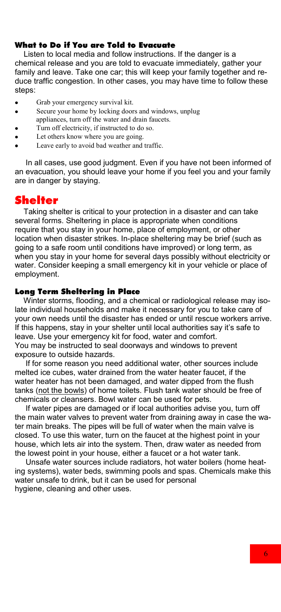### What to Do if You are Told to Evacuate

 Listen to local media and follow instructions. If the danger is a chemical release and you are told to evacuate immediately, gather your family and leave. Take one car; this will keep your family together and reduce traffic congestion. In other cases, you may have time to follow these steps:

- Grab your emergency survival kit.  $\bullet$
- Secure your home by locking doors and windows, unplug  $\bullet$ appliances, turn off the water and drain faucets.
- Turn off electricity, if instructed to do so.
- Let others know where you are going.
- Leave early to avoid bad weather and traffic.

 In all cases, use good judgment. Even if you have not been informed of an evacuation, you should leave your home if you feel you and your family are in danger by staying.

# Shelter

 Taking shelter is critical to your protection in a disaster and can take several forms. Sheltering in place is appropriate when conditions require that you stay in your home, place of employment, or other location when disaster strikes. In-place sheltering may be brief (such as going to a safe room until conditions have improved) or long term, as when you stay in your home for several days possibly without electricity or water. Consider keeping a small emergency kit in your vehicle or place of employment.

#### Long Term Sheltering in Place

 Winter storms, flooding, and a chemical or radiological release may isolate individual households and make it necessary for you to take care of your own needs until the disaster has ended or until rescue workers arrive. If this happens, stay in your shelter until local authorities say it's safe to leave. Use your emergency kit for food, water and comfort. You may be instructed to seal doorways and windows to prevent exposure to outside hazards.

 If for some reason you need additional water, other sources include melted ice cubes, water drained from the water heater faucet, if the water heater has not been damaged, and water dipped from the flush tanks (not the bowls) of home toilets. Flush tank water should be free of chemicals or cleansers. Bowl water can be used for pets.

 If water pipes are damaged or if local authorities advise you, turn off the main water valves to prevent water from draining away in case the water main breaks. The pipes will be full of water when the main valve is closed. To use this water, turn on the faucet at the highest point in your house, which lets air into the system. Then, draw water as needed from the lowest point in your house, either a faucet or a hot water tank.

 Unsafe water sources include radiators, hot water boilers (home heating systems), water beds, swimming pools and spas. Chemicals make this water unsafe to drink, but it can be used for personal hygiene, cleaning and other uses.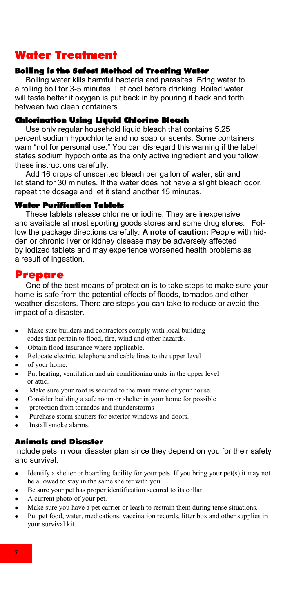# Water Treatment

### Boiling is the Safest Method of Treating Water

 Boiling water kills harmful bacteria and parasites. Bring water to a rolling boil for 3-5 minutes. Let cool before drinking. Boiled water will taste better if oxygen is put back in by pouring it back and forth between two clean containers.

### Chlorination Using Liquid Chlorine Bleach

 Use only regular household liquid bleach that contains 5.25 percent sodium hypochlorite and no soap or scents. Some containers warn "not for personal use." You can disregard this warning if the label states sodium hypochlorite as the only active ingredient and you follow these instructions carefully:

 Add 16 drops of unscented bleach per gallon of water; stir and let stand for 30 minutes. If the water does not have a slight bleach odor, repeat the dosage and let it stand another 15 minutes.

#### Water Purification Tablets

 These tablets release chlorine or iodine. They are inexpensive and available at most sporting goods stores and some drug stores. Follow the package directions carefully. **A note of caution:** People with hidden or chronic liver or kidney disease may be adversely affected by iodized tablets and may experience worsened health problems as a result of ingestion.

### Prepare

 One of the best means of protection is to take steps to make sure your home is safe from the potential effects of floods, tornados and other weather disasters. There are steps you can take to reduce or avoid the impact of a disaster.

- $\bullet$ Make sure builders and contractors comply with local building codes that pertain to flood, fire, wind and other hazards.
- Obtain flood insurance where applicable.  $\bullet$
- Relocate electric, telephone and cable lines to the upper level  $\bullet$
- of your home.  $\bullet$
- Put heating, ventilation and air conditioning units in the upper level  $\bullet$ or attic.
- Make sure your roof is secured to the main frame of your house.  $\bullet$
- Consider building a safe room or shelter in your home for possible
- protection from tornados and thunderstorms
- Purchase storm shutters for exterior windows and doors.
- Install smoke alarms.

#### Animals and Disaster

Include pets in your disaster plan since they depend on you for their safety and survival.

- Identify a shelter or boarding facility for your pets. If you bring your pet(s) it may not  $\bullet$ be allowed to stay in the same shelter with you.
- Be sure your pet has proper identification secured to its collar.
- A current photo of your pet.  $\bullet$
- Make sure you have a pet carrier or leash to restrain them during tense situations.
- Put pet food, water, medications, vaccination records, litter box and other supplies in your survival kit.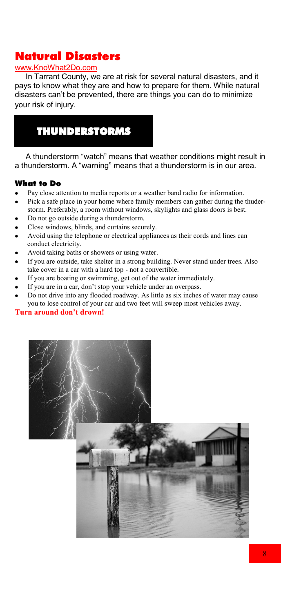# Natural Disasters

### www.KnoWhat2Do.com

 In Tarrant County, we are at risk for several natural disasters, and it pays to know what they are and how to prepare for them. While natural disasters can't be prevented, there are things you can do to minimize your risk of injury.



 A thunderstorm "watch" means that weather conditions might result in a thunderstorm. A "warning" means that a thunderstorm is in our area.

### What to Do

- Pay close attention to media reports or a weather band radio for information.
- Pick a safe place in your home where family members can gather during the thuderstorm. Preferably, a room without windows, skylights and glass doors is best.
- Do not go outside during a thunderstorm.
- Close windows, blinds, and curtains securely.
- Avoid using the telephone or electrical appliances as their cords and lines can conduct electricity.
- Avoid taking baths or showers or using water.
- If you are outside, take shelter in a strong building. Never stand under trees. Also take cover in a car with a hard top - not a convertible.
- If you are boating or swimming, get out of the water immediately.
- If you are in a car, don't stop your vehicle under an overpass.
- Do not drive into any flooded roadway. As little as six inches of water may cause you to lose control of your car and two feet will sweep most vehicles away.

#### **Turn around don't drown!**

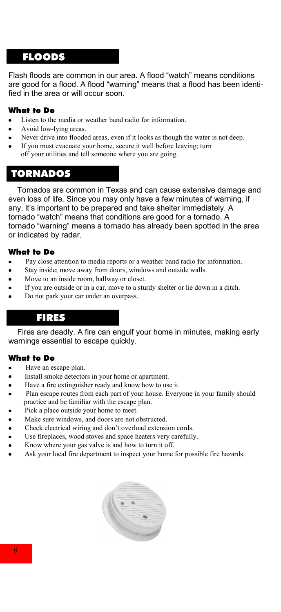# FLOODS

Flash floods are common in our area. A flood "watch" means conditions are good for a flood. A flood "warning" means that a flood has been identified in the area or will occur soon.

### What to Do

- Listen to the media or weather band radio for information.
- Avoid low-lying areas.
- Never drive into flooded areas, even if it looks as though the water is not deep.
- If you must evacuate your home, secure it well before leaving; turn
- off your utilities and tell someone where you are going.

# **TORNADOS**

 Tornados are common in Texas and can cause extensive damage and even loss of life. Since you may only have a few minutes of warning, if any, it's important to be prepared and take shelter immediately. A tornado "watch" means that conditions are good for a tornado. A tornado "warning" means a tornado has already been spotted in the area or indicated by radar.

### What to Do

- Pay close attention to media reports or a weather band radio for information.
- Stay inside; move away from doors, windows and outside walls.
- Move to an inside room, hallway or closet.
- If you are outside or in a car, move to a sturdy shelter or lie down in a ditch.
- Do not park your car under an overpass.

# FIRES

 Fires are deadly. A fire can engulf your home in minutes, making early warnings essential to escape quickly.

#### What to Do

- Have an escape plan.
- Install smoke detectors in your home or apartment.
- Have a fire extinguisher ready and know how to use it.
- Plan escape routes from each part of your house. Everyone in your family should practice and be familiar with the escape plan.
- Pick a place outside your home to meet.
- Make sure windows, and doors are not obstructed.
- Check electrical wiring and don't overload extension cords.
- Use fireplaces, wood stoves and space heaters very carefully.
- Know where your gas valve is and how to turn it off.
- Ask your local fire department to inspect your home for possible fire hazards.

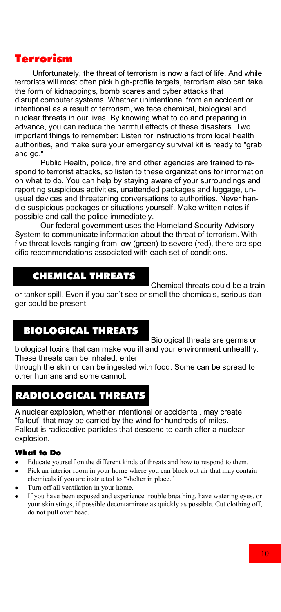# Terrorism

 Unfortunately, the threat of terrorism is now a fact of life. And while terrorists will most often pick high-profile targets, terrorism also can take the form of kidnappings, bomb scares and cyber attacks that disrupt computer systems. Whether unintentional from an accident or intentional as a result of terrorism, we face chemical, biological and nuclear threats in our lives. By knowing what to do and preparing in advance, you can reduce the harmful effects of these disasters. Two important things to remember: Listen for instructions from local health authorities, and make sure your emergency survival kit is ready to "grab and go."

Public Health, police, fire and other agencies are trained to respond to terrorist attacks, so listen to these organizations for information on what to do. You can help by staying aware of your surroundings and reporting suspicious activities, unattended packages and luggage, unusual devices and threatening conversations to authorities. Never handle suspicious packages or situations yourself. Make written notes if possible and call the police immediately.

Our federal government uses the Homeland Security Advisory System to communicate information about the threat of terrorism. With five threat levels ranging from low (green) to severe (red), there are specific recommendations associated with each set of conditions.

# **CHEMICAL THREATS**

Chemical threats could be a train

or tanker spill. Even if you can't see or smell the chemicals, serious danger could be present.

# BIOLOGICAL THREATS

Biological threats are germs or biological toxins that can make you ill and your environment unhealthy. These threats can be inhaled, enter

through the skin or can be ingested with food. Some can be spread to other humans and some cannot.

# RADIOLOGICAL THREATS

A nuclear explosion, whether intentional or accidental, may create "fallout" that may be carried by the wind for hundreds of miles. Fallout is radioactive particles that descend to earth after a nuclear explosion.

# What to Do

- $\bullet$ Educate yourself on the different kinds of threats and how to respond to them.
- Pick an interior room in your home where you can block out air that may contain chemicals if you are instructed to "shelter in place."
- Turn off all ventilation in your home.
- If you have been exposed and experience trouble breathing, have watering eyes, or your skin stings, if possible decontaminate as quickly as possible. Cut clothing off, do not pull over head.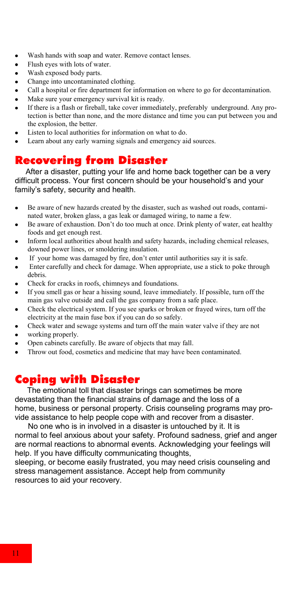- Wash hands with soap and water. Remove contact lenses.  $\bullet$
- Flush eyes with lots of water.  $\bullet$
- Wash exposed body parts.
- Change into uncontaminated clothing.
- Call a hospital or fire department for information on where to go for decontamination.
- Make sure your emergency survival kit is ready.  $\bullet$
- If there is a flash or fireball, take cover immediately, preferably underground. Any protection is better than none, and the more distance and time you can put between you and the explosion, the better.
- Listen to local authorities for information on what to do.
- Learn about any early warning signals and emergency aid sources.

# Recovering from Disaster

 After a disaster, putting your life and home back together can be a very difficult process. Your first concern should be your household's and your family's safety, security and health.

- Be aware of new hazards created by the disaster, such as washed out roads, contaminated water, broken glass, a gas leak or damaged wiring, to name a few.
- Be aware of exhaustion. Don't do too much at once. Drink plenty of water, eat healthy foods and get enough rest.
- Inform local authorities about health and safety hazards, including chemical releases, downed power lines, or smoldering insulation.
- If your home was damaged by fire, don't enter until authorities say it is safe.
- Enter carefully and check for damage. When appropriate, use a stick to poke through debris.
- Check for cracks in roofs, chimneys and foundations.
- If you smell gas or hear a hissing sound, leave immediately. If possible, turn off the main gas valve outside and call the gas company from a safe place.
- Check the electrical system. If you see sparks or broken or frayed wires, turn off the  $\bullet$ electricity at the main fuse box if you can do so safely.
- Check water and sewage systems and turn off the main water valve if they are not
- working properly.
- Open cabinets carefully. Be aware of objects that may fall.
- Throw out food, cosmetics and medicine that may have been contaminated.

# Coping with Disaster

 The emotional toll that disaster brings can sometimes be more devastating than the financial strains of damage and the loss of a home, business or personal property. Crisis counseling programs may provide assistance to help people cope with and recover from a disaster.

 No one who is in involved in a disaster is untouched by it. It is normal to feel anxious about your safety. Profound sadness, grief and anger are normal reactions to abnormal events. Acknowledging your feelings will help. If you have difficulty communicating thoughts,

sleeping, or become easily frustrated, you may need crisis counseling and stress management assistance. Accept help from community resources to aid your recovery.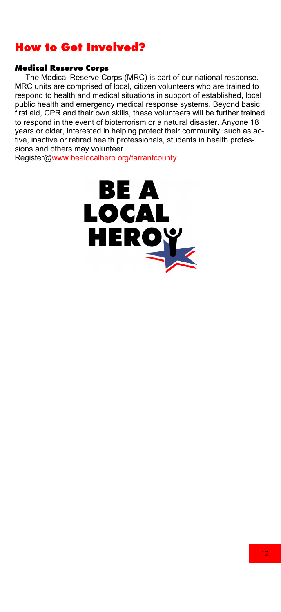# How to Get Involved?

### Medical Reserve Corps

 The Medical Reserve Corps (MRC) is part of our national response. MRC units are comprised of local, citizen volunteers who are trained to respond to health and medical situations in support of established, local public health and emergency medical response systems. Beyond basic first aid, CPR and their own skills, these volunteers will be further trained to respond in the event of bioterrorism or a natural disaster. Anyone 18 years or older, interested in helping protect their community, such as active, inactive or retired health professionals, students in health professions and others may volunteer.

Register@www.bealocalhero.org/tarrantcounty.

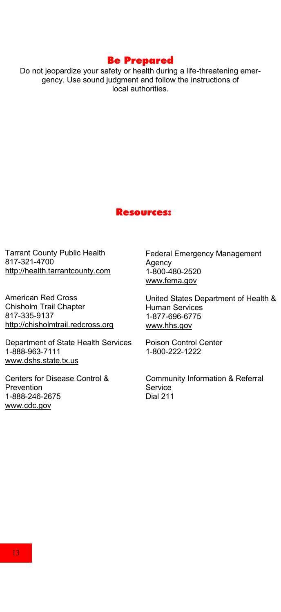# Be Prepared

Do not jeopardize your safety or health during a life-threatening emergency. Use sound judgment and follow the instructions of local authorities.

#### Resources:

Tarrant County Public Health 817-321-4700 http://health.tarrantcounty.com

American Red Cross Chisholm Trail Chapter 817-335-9137 http://chisholmtrail.redcross.org

Department of State Health Services 1-888-963-7111 www.dshs.state.tx.us

Centers for Disease Control & **Prevention** 1-888-246-2675 www.cdc.gov

Federal Emergency Management Agency 1-800-480-2520 www.fema.gov

United States Department of Health & Human Services 1-877-696-6775 www.hhs.gov

Poison Control Center 1-800-222-1222

Community Information & Referral Service Dial 211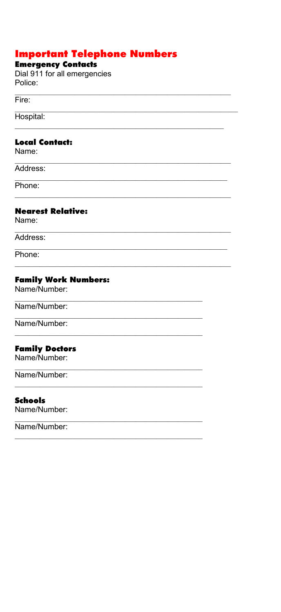# **Important Telephone Numbers**

# **Emergency Contacts**

Dial 911 for all emergencies Police:

 $Fire:$ 

Hospital:

### **Local Contact:**

Name:

Address:

Phone:

### **Nearest Relative:**

Name:

Address:

Phone:

## **Family Work Numbers:**

Name/Number:

### Name/Number:

Name/Number:

### **Family Doctors**

Name/Number:

Name/Number:

### **Schools**

Name/Number:

Name/Number: